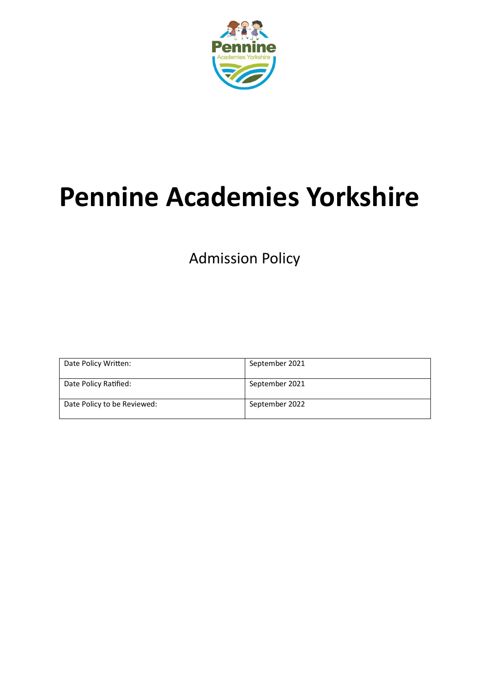

# **Pennine Academies Yorkshire**

Admission Policy

| Date Policy Written:        | September 2021 |
|-----------------------------|----------------|
| Date Policy Ratified:       | September 2021 |
| Date Policy to be Reviewed: | September 2022 |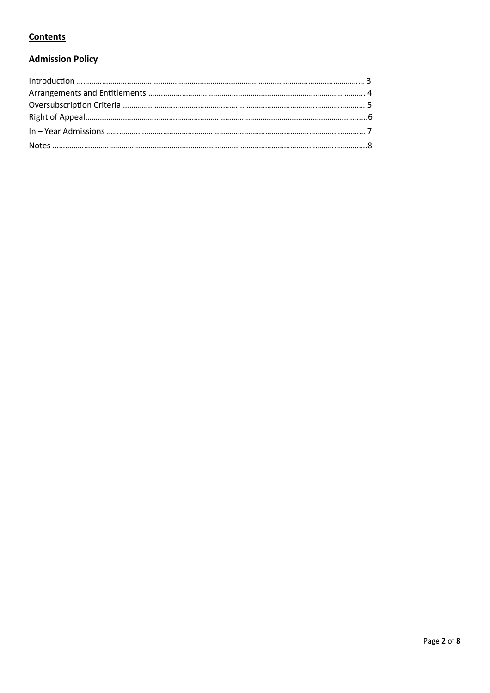# **Contents**

# **Admission Policy**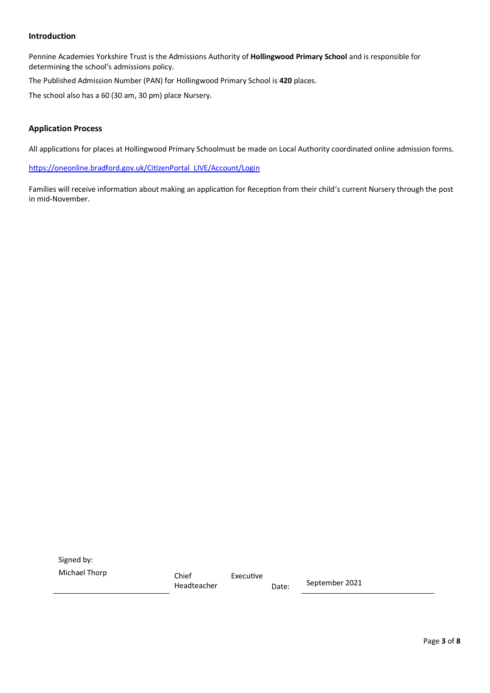#### **Introduction**

Pennine Academies Yorkshire Trust is the Admissions Authority of **Hollingwood Primary School** and is responsible for determining the school's admissions policy.

The Published Admission Number (PAN) for Hollingwood Primary School is **420** places.

The school also has a 60 (30 am, 30 pm) place Nursery.

#### **Application Process**

All applications for places at Hollingwood Primary Schoolmust be made on Local Authority coordinated online admission forms.

[https://oneonline.bradford.gov.uk/CitizenPortal\\_LIVE/Account/Login](https://oneonline.bradford.gov.uk/CitizenPortal_LIVE/Account/Login) 

Families will receive information about making an application for Reception from their child's current Nursery through the post in mid-November.

Signed by: Michael Thorp Chief Executive

Headteacher Date: September 2021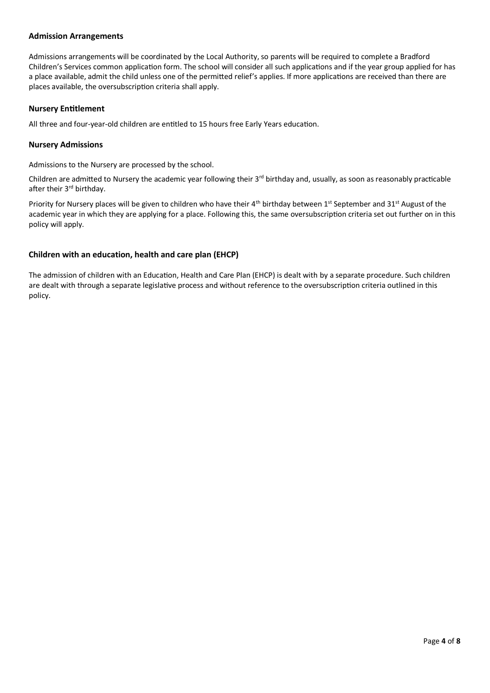#### **Admission Arrangements**

Admissions arrangements will be coordinated by the Local Authority, so parents will be required to complete a Bradford Children's Services common application form. The school will consider all such applications and if the year group applied for has a place available, admit the child unless one of the permitted relief's applies. If more applications are received than there are places available, the oversubscription criteria shall apply.

#### **Nursery Entitlement**

All three and four-year-old children are entitled to 15 hours free Early Years education.

#### **Nursery Admissions**

Admissions to the Nursery are processed by the school.

Children are admitted to Nursery the academic year following their 3<sup>rd</sup> birthday and, usually, as soon as reasonably practicable after their 3<sup>rd</sup> birthday.

Priority for Nursery places will be given to children who have their  $4^{th}$  birthday between  $1^{st}$  September and  $31^{st}$  August of the academic year in which they are applying for a place. Following this, the same oversubscription criteria set out further on in this policy will apply.

#### **Children with an education, health and care plan (EHCP)**

The admission of children with an Education, Health and Care Plan (EHCP) is dealt with by a separate procedure. Such children are dealt with through a separate legislative process and without reference to the oversubscription criteria outlined in this policy.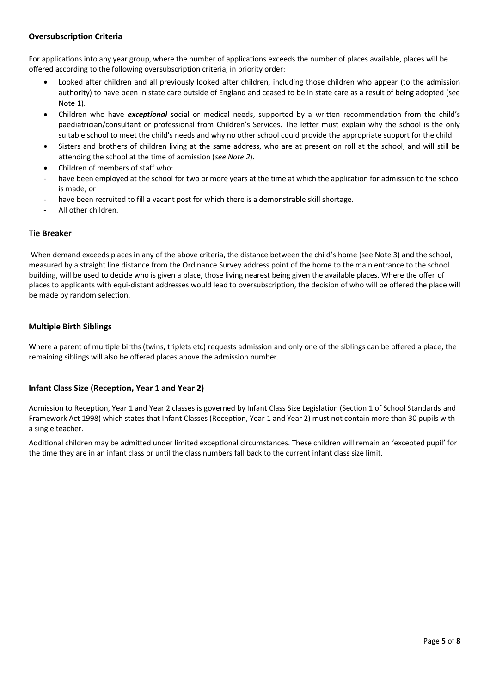### **Oversubscription Criteria**

For applications into any year group, where the number of applications exceeds the number of places available, places will be offered according to the following oversubscription criteria, in priority order:

- Looked after children and all previously looked after children, including those children who appear (to the admission authority) to have been in state care outside of England and ceased to be in state care as a result of being adopted (see Note 1).
- Children who have *exceptional* social or medical needs, supported by a written recommendation from the child's paediatrician/consultant or professional from Children's Services. The letter must explain why the school is the only suitable school to meet the child's needs and why no other school could provide the appropriate support for the child.
- Sisters and brothers of children living at the same address, who are at present on roll at the school, and will still be attending the school at the time of admission (*see Note 2*).
- Children of members of staff who:
- have been employed at the school for two or more years at the time at which the application for admission to the school is made; or
- have been recruited to fill a vacant post for which there is a demonstrable skill shortage.
- All other children.

#### **Tie Breaker**

When demand exceeds places in any of the above criteria, the distance between the child's home (see Note 3) and the school, measured by a straight line distance from the Ordinance Survey address point of the home to the main entrance to the school building, will be used to decide who is given a place, those living nearest being given the available places. Where the offer of places to applicants with equi-distant addresses would lead to oversubscription, the decision of who will be offered the place will be made by random selection.

#### **Multiple Birth Siblings**

Where a parent of multiple births (twins, triplets etc) requests admission and only one of the siblings can be offered a place, the remaining siblings will also be offered places above the admission number.

#### **Infant Class Size (Reception, Year 1 and Year 2)**

Admission to Reception, Year 1 and Year 2 classes is governed by Infant Class Size Legislation (Section 1 of School Standards and Framework Act 1998) which states that Infant Classes (Reception, Year 1 and Year 2) must not contain more than 30 pupils with a single teacher.

Additional children may be admitted under limited exceptional circumstances. These children will remain an 'excepted pupil' for the time they are in an infant class or until the class numbers fall back to the current infant class size limit.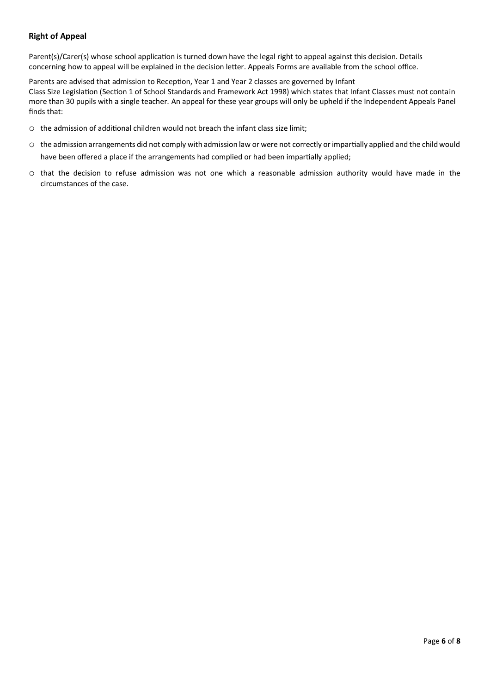## **Right of Appeal**

Parent(s)/Carer(s) whose school application is turned down have the legal right to appeal against this decision. Details concerning how to appeal will be explained in the decision letter. Appeals Forms are available from the school office.

Parents are advised that admission to Reception, Year 1 and Year 2 classes are governed by Infant Class Size Legislation (Section 1 of School Standards and Framework Act 1998) which states that Infant Classes must not contain more than 30 pupils with a single teacher. An appeal for these year groups will only be upheld if the Independent Appeals Panel finds that:

- o the admission of additional children would not breach the infant class size limit;
- o the admission arrangements did not comply with admission law or were not correctly or impartially applied and the child would have been offered a place if the arrangements had complied or had been impartially applied;
- o that the decision to refuse admission was not one which a reasonable admission authority would have made in the circumstances of the case.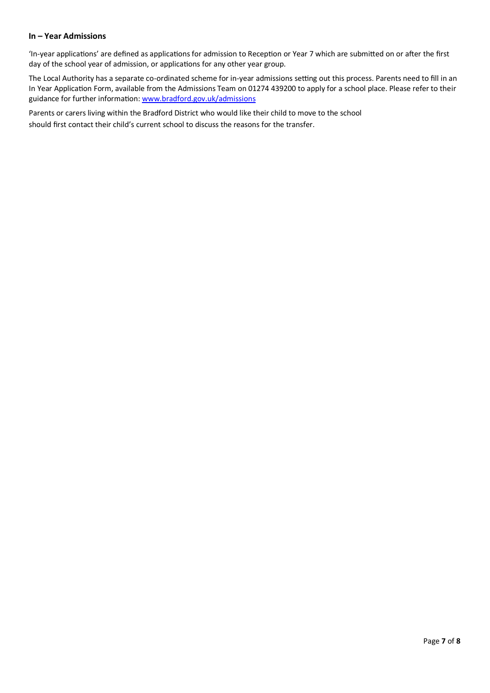#### **In – Year Admissions**

'In-year applications' are defined as applications for admission to Reception or Year 7 which are submitted on or after the first day of the school year of admission, or applications for any other year group.

The Local Authority has a separate co-ordinated scheme for in-year admissions setting out this process. Parents need to fill in an In Year Application Form, available from the Admissions Team on 01274 439200 to apply for a school place. Please refer to their guidance for further information[: www.bradford.gov.uk/admissions](http://www.bradford.gov.uk/admissions) 

Parents or carers living within the Bradford District who would like their child to move to the school should first contact their child's current school to discuss the reasons for the transfer.